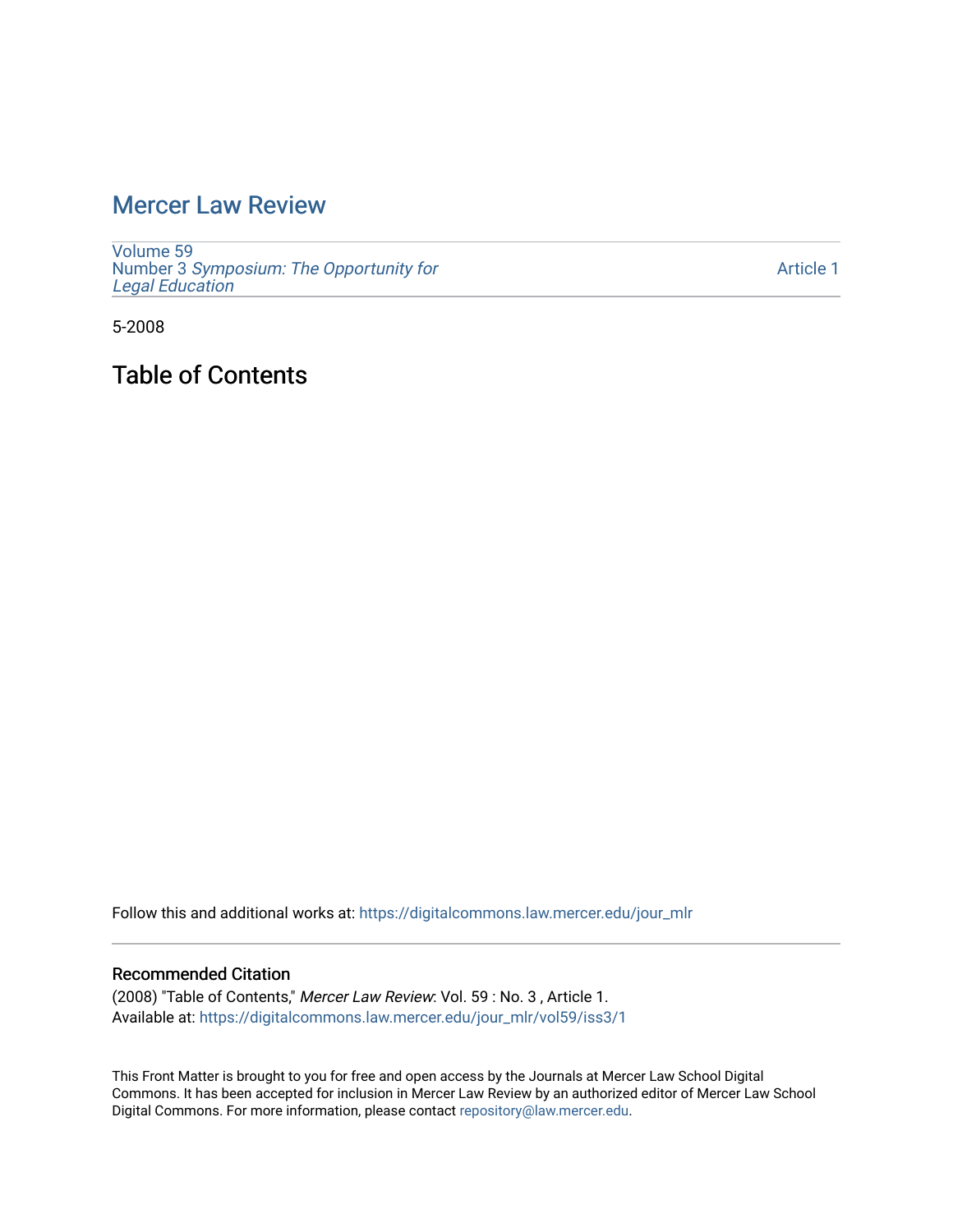# [Mercer Law Review](https://digitalcommons.law.mercer.edu/jour_mlr)

[Volume 59](https://digitalcommons.law.mercer.edu/jour_mlr/vol59) Number 3 [Symposium: The Opportunity for](https://digitalcommons.law.mercer.edu/jour_mlr/vol59/iss3) [Legal Education](https://digitalcommons.law.mercer.edu/jour_mlr/vol59/iss3)

[Article 1](https://digitalcommons.law.mercer.edu/jour_mlr/vol59/iss3/1) 

5-2008

Table of Contents

Follow this and additional works at: [https://digitalcommons.law.mercer.edu/jour\\_mlr](https://digitalcommons.law.mercer.edu/jour_mlr?utm_source=digitalcommons.law.mercer.edu%2Fjour_mlr%2Fvol59%2Fiss3%2F1&utm_medium=PDF&utm_campaign=PDFCoverPages)

#### Recommended Citation

(2008) "Table of Contents," Mercer Law Review: Vol. 59 : No. 3 , Article 1. Available at: [https://digitalcommons.law.mercer.edu/jour\\_mlr/vol59/iss3/1](https://digitalcommons.law.mercer.edu/jour_mlr/vol59/iss3/1?utm_source=digitalcommons.law.mercer.edu%2Fjour_mlr%2Fvol59%2Fiss3%2F1&utm_medium=PDF&utm_campaign=PDFCoverPages)

This Front Matter is brought to you for free and open access by the Journals at Mercer Law School Digital Commons. It has been accepted for inclusion in Mercer Law Review by an authorized editor of Mercer Law School Digital Commons. For more information, please contact [repository@law.mercer.edu](mailto:repository@law.mercer.edu).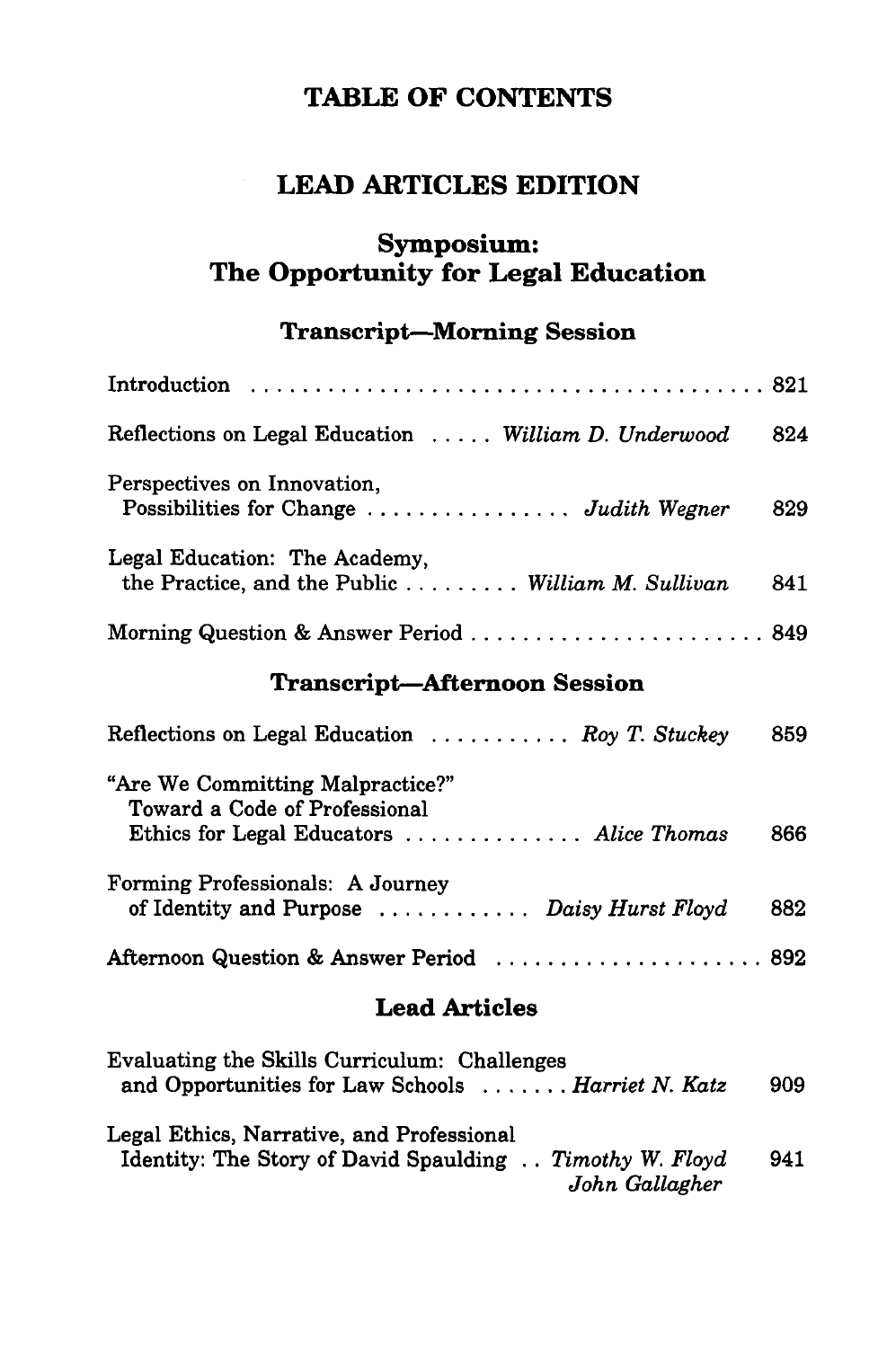## **TABLE OF CONTENTS**

## **LEAD ARTICLES EDITION**

### **Symposium: The Opportunity for Legal Education**

## **Transcript-Morning Session**

| Reflections on Legal Education  William D. Underwood                                                          | 824 |
|---------------------------------------------------------------------------------------------------------------|-----|
| Perspectives on Innovation,<br>Possibilities for Change  Judith Wegner                                        | 829 |
| Legal Education: The Academy,<br>the Practice, and the Public William M. Sullivan                             | 841 |
| Morning Question & Answer Period  849                                                                         |     |
| <b>Transcript-Afternoon Session</b>                                                                           |     |
| Reflections on Legal Education $\ldots \ldots \ldots$ Roy T. Stuckey                                          | 859 |
| "Are We Committing Malpractice?"<br>Toward a Code of Professional<br>Ethics for Legal Educators  Alice Thomas | 866 |
| Forming Professionals: A Journey<br>of Identity and Purpose  Daisy Hurst Floyd                                | 882 |
| Afternoon Question & Answer Period  892                                                                       |     |
| <b>Lead Articles</b>                                                                                          |     |
| Evaluating the Skills Curriculum: Challenges<br>and Opportunities for Law Schools  Harriet N. Katz            | 909 |

| Legal Ethics, Narrative, and Professional                 |                |     |
|-----------------------------------------------------------|----------------|-----|
| Identity: The Story of David Spaulding . Timothy W. Floyd |                | 941 |
|                                                           | John Gallagher |     |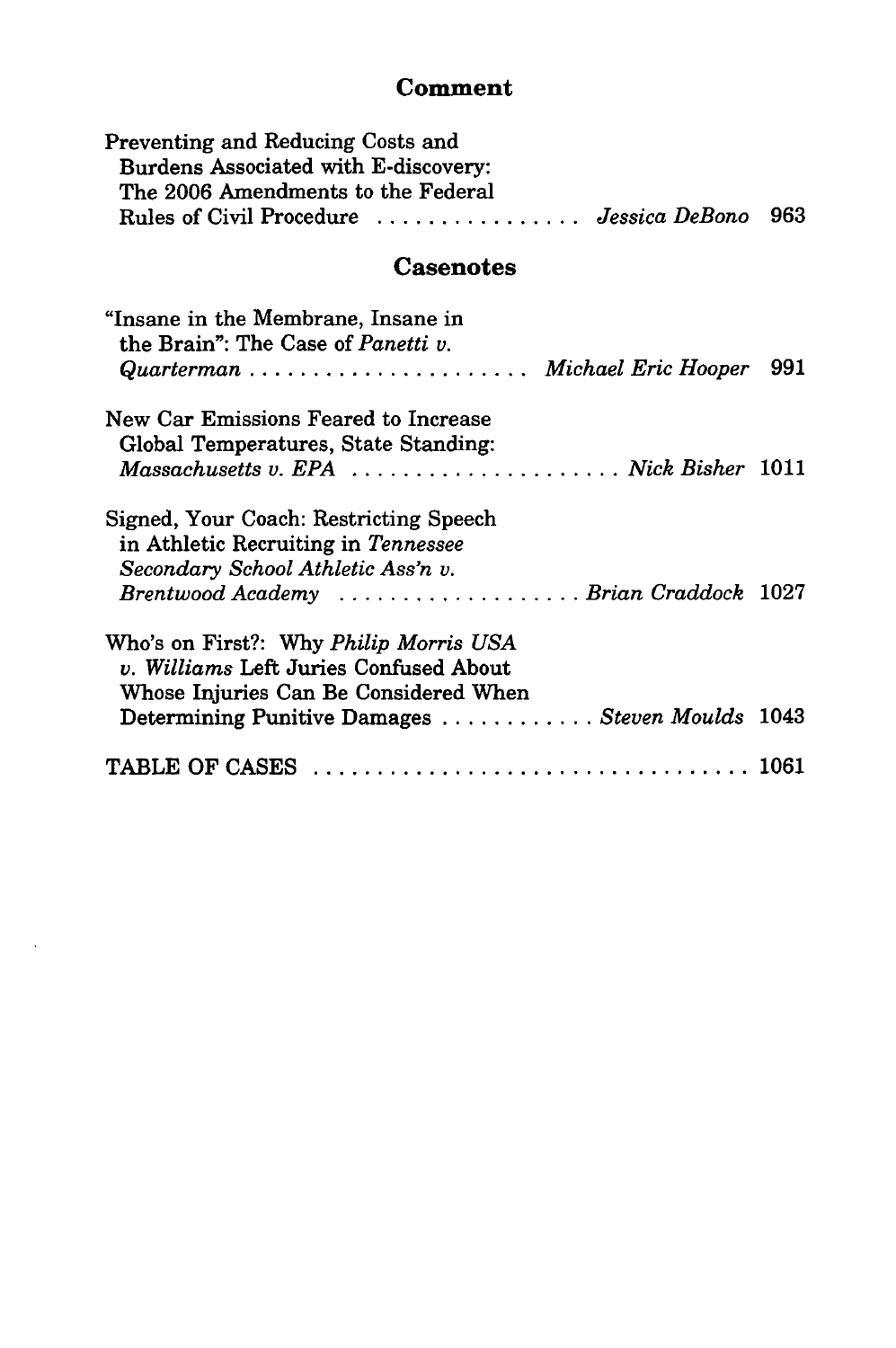#### **Comment**

| Rules of Civil Procedure  Jessica DeBono 963 |
|----------------------------------------------|
|                                              |

### Casenotes

| "Insane in the Membrane, Insane in<br>the Brain": The Case of <i>Panetti v.</i><br>Quarterman  Michael Eric Hooper 991                                                       |  |
|------------------------------------------------------------------------------------------------------------------------------------------------------------------------------|--|
| New Car Emissions Feared to Increase<br>Global Temperatures, State Standing:<br>Massachusetts v. EPA  Nick Bisher 1011                                                       |  |
| Signed, Your Coach: Restricting Speech<br>in Athletic Recruiting in Tennessee<br>Secondary School Athletic Ass'n v.<br>Brentwood Academy Brian Craddock 1027                 |  |
| Who's on First?: Why Philip Morris USA<br>v. Williams Left Juries Confused About<br>Whose Injuries Can Be Considered When<br>Determining Punitive Damages Steven Moulds 1043 |  |
|                                                                                                                                                                              |  |

 $\lambda$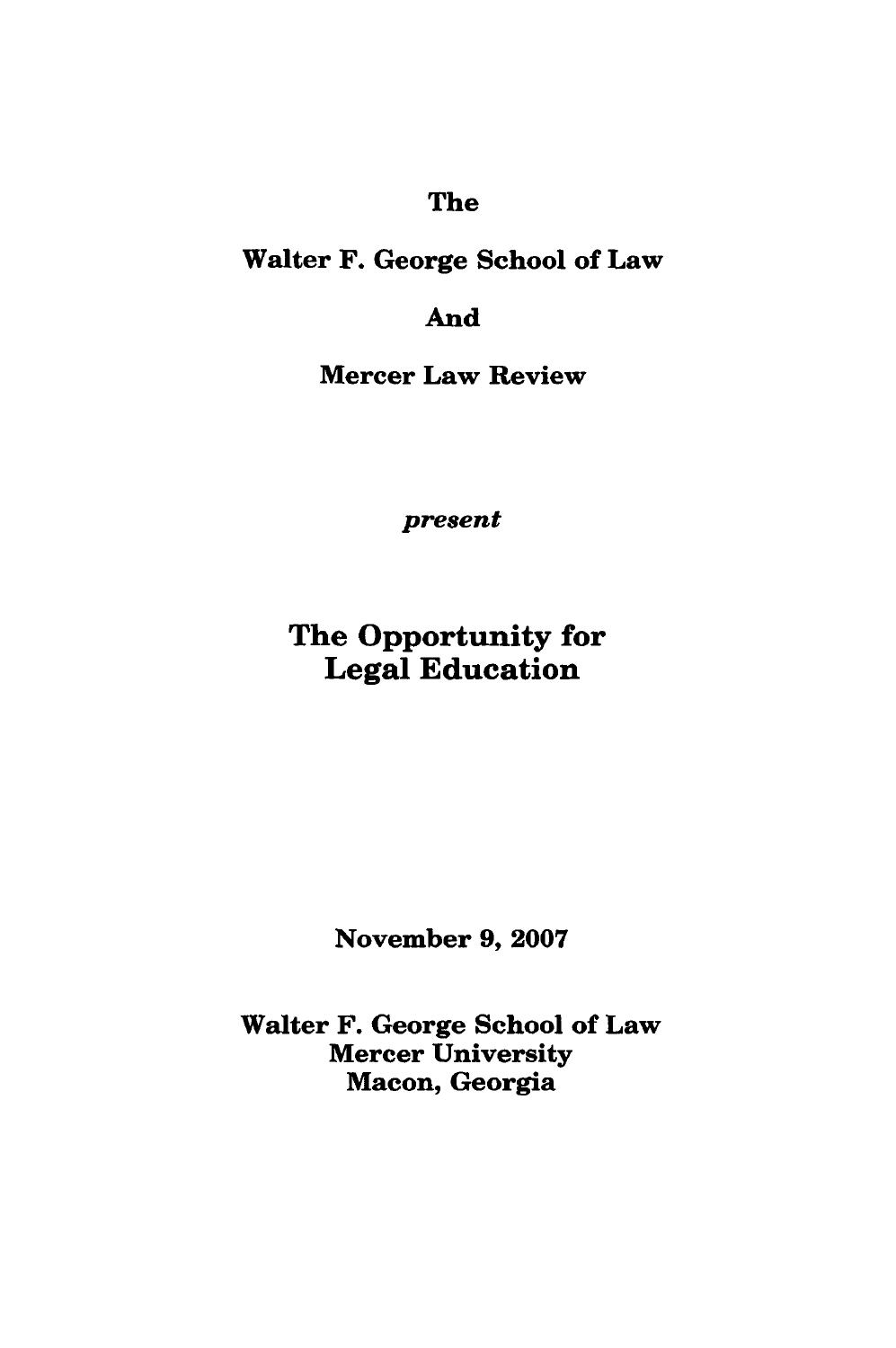### The

### Walter F. George School of Law

## And

Mercer Law Review

*present*

## The Opportunity for Legal Education

November **9, 2007**

Walter F. George School of Law Mercer University Macon, Georgia